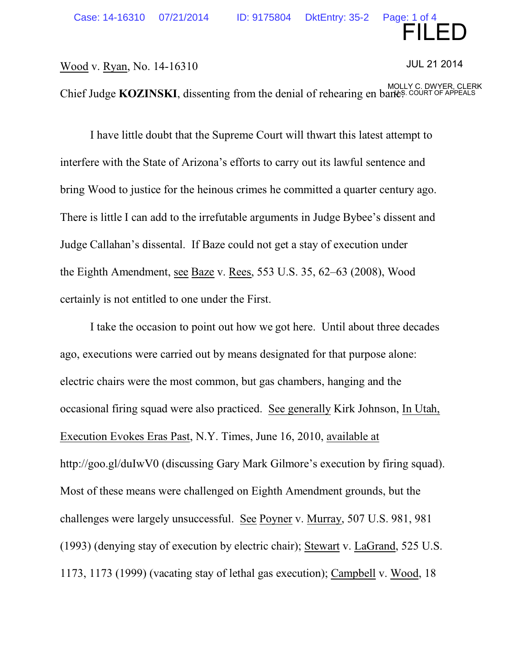FILED

## Wood v. Ryan, No. 14-16310

JUL 21 2014

Chief Judge **KOZINSKI**, dissenting from the denial of rehearing en banes. COURT OF APPEALS

I have little doubt that the Supreme Court will thwart this latest attempt to interfere with the State of Arizona's efforts to carry out its lawful sentence and bring Wood to justice for the heinous crimes he committed a quarter century ago. There is little I can add to the irrefutable arguments in Judge Bybee's dissent and Judge Callahan's dissental. If Baze could not get a stay of execution under the Eighth Amendment, see Baze v. Rees, 553 U.S. 35, 62–63 (2008), Wood certainly is not entitled to one under the First.

I take the occasion to point out how we got here. Until about three decades ago, executions were carried out by means designated for that purpose alone: electric chairs were the most common, but gas chambers, hanging and the occasional firing squad were also practiced. See generally Kirk Johnson, In Utah, Execution Evokes Eras Past, N.Y. Times, June 16, 2010, available at http://goo.gl/duIwV0 (discussing Gary Mark Gilmore's execution by firing squad). Most of these means were challenged on Eighth Amendment grounds, but the challenges were largely unsuccessful. See Poyner v. Murray, 507 U.S. 981, 981 (1993) (denying stay of execution by electric chair); Stewart v. LaGrand, 525 U.S. 1173, 1173 (1999) (vacating stay of lethal gas execution); Campbell v. Wood, 18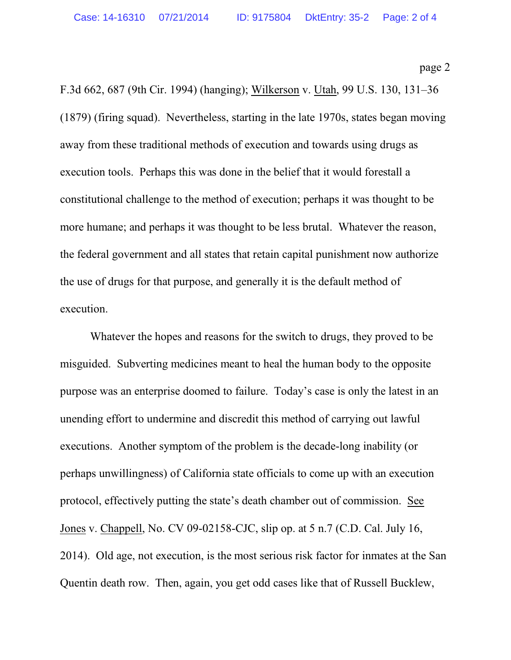page 2

F.3d 662, 687 (9th Cir. 1994) (hanging); Wilkerson v. Utah, 99 U.S. 130, 131–36 (1879) (firing squad). Nevertheless, starting in the late 1970s, states began moving away from these traditional methods of execution and towards using drugs as execution tools. Perhaps this was done in the belief that it would forestall a constitutional challenge to the method of execution; perhaps it was thought to be more humane; and perhaps it was thought to be less brutal. Whatever the reason, the federal government and all states that retain capital punishment now authorize the use of drugs for that purpose, and generally it is the default method of execution.

Whatever the hopes and reasons for the switch to drugs, they proved to be misguided. Subverting medicines meant to heal the human body to the opposite purpose was an enterprise doomed to failure. Today's case is only the latest in an unending effort to undermine and discredit this method of carrying out lawful executions. Another symptom of the problem is the decade-long inability (or perhaps unwillingness) of California state officials to come up with an execution protocol, effectively putting the state's death chamber out of commission. See Jones v. Chappell, No. CV 09-02158-CJC, slip op. at 5 n.7 (C.D. Cal. July 16, 2014). Old age, not execution, is the most serious risk factor for inmates at the San Quentin death row. Then, again, you get odd cases like that of Russell Bucklew,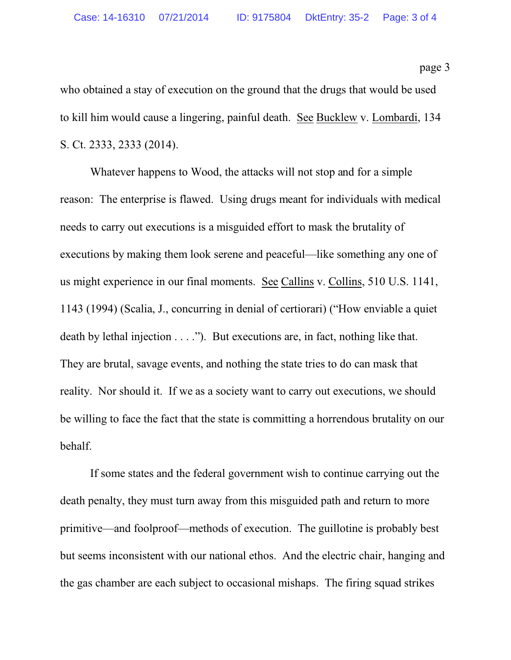who obtained a stay of execution on the ground that the drugs that would be used to kill him would cause a lingering, painful death. See Bucklew v. Lombardi, 134 S. Ct. 2333, 2333 (2014).

Whatever happens to Wood, the attacks will not stop and for a simple reason: The enterprise is flawed. Using drugs meant for individuals with medical needs to carry out executions is a misguided effort to mask the brutality of executions by making them look serene and peaceful—like something any one of us might experience in our final moments. See Callins v. Collins, 510 U.S. 1141, 1143 (1994) (Scalia, J., concurring in denial of certiorari) ("How enviable a quiet death by lethal injection . . . ."). But executions are, in fact, nothing like that. They are brutal, savage events, and nothing the state tries to do can mask that reality. Nor should it. If we as a society want to carry out executions, we should be willing to face the fact that the state is committing a horrendous brutality on our behalf.

If some states and the federal government wish to continue carrying out the death penalty, they must turn away from this misguided path and return to more primitive—and foolproof—methods of execution. The guillotine is probably best but seems inconsistent with our national ethos. And the electric chair, hanging and the gas chamber are each subject to occasional mishaps. The firing squad strikes

page 3